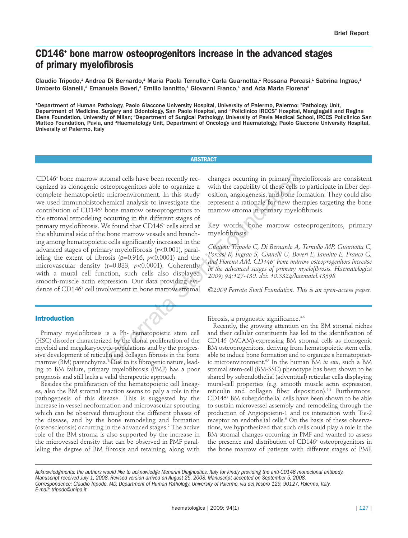# **CD146+ bone marrow osteoprogenitors increase in the advanced stages of primary myelofibrosis**

Claudio Tripodo,<sup>1</sup> Andrea Di Bernardo,<sup>1</sup> Maria Paola Ternullo,<sup>1</sup> Carla Guarnotta,<sup>1</sup> Rossana Porcasi,<sup>1</sup> Sabrina Ingrao,<sup>1</sup> Umberto Gianelli,<sup>2</sup> Emanuela Boveri,<sup>3</sup> Emilio lannitto,<sup>4</sup> Giovanni Franco,<sup>4</sup> and Ada Maria Florena<sup>1</sup>

1 Department of Human Pathology, Paolo Giaccone University Hospital, University of Palermo, Palermo; 2 Pathology Unit, Department of Medicine, Surgery and Odontology, San Paolo Hospital, and "Policlinico IRCCS" Hospital, Mangiagalli and Regina Elena Foundation, University of Milan; <sup>3</sup>Department of Surgical Pathology, University of Pavia Medical School, IRCCS Policlinico San Matteo Foundation, Pavia, and 4 Haematology Unit, Department of Oncology and Haematology, Paolo Giaccone University Hospital, University of Palermo, Italy

### **ABSTRACT**

CD146+ bone marrow stromal cells have been recently recognized as clonogenic osteoprogenitors able to organize a complete hematopoietic microenvironment. In this study we used immunohistochemical analysis to investigate the contribution of CD146+ bone marrow osteoprogenitors to the stromal remodeling occurring in the different stages of primary myelofibrosis. We found that CD146<sup>+</sup> cells sited at the abluminal side of the bone marrow vessels and branching among hematopoietic cells significantly increased in the advanced stages of primary myelofibrosis (*p*<0.001), paralleling the extent of fibrosis (ρ=0.916, *p*<0.0001) and the microvascular density (r=0.883, *p*<0.0001). Coherently with a mural cell function, such cells also displayed smooth-muscle actin expression. Our data providing evidence of CD146<sup>+</sup> cell involvement in bone marrow stromal tromal cells have been recently rec-<br>
changes occurring in primary my<br>
stetoprogenitors able to organize a<br>
with the capability of these cells tristed in existencial analysis to investigate the represent a rationale for n

changes occurring in primary myelofibrosis are consistent with the capability of these cells to participate in fiber deposition, angiogenesis, and bone formation. They could also represent a rationale for new therapies targeting the bone marrow stroma in primary myelofibrosis.

Key words: bone marrow osteoprogenitors, primary myelofibrosis.

*Citation: Tripodo C, Di Bernardo A, Ternullo MP, Guarnotta C, Porcasi R, Ingrao S, Gianelli U, Boveri E, Iannitto E, Franco G, and Florena AM. CD146+ bone marrow osteoprogenitors increase in the advanced stages of primary myelofibrosis. Haematologica 2009; 94:127-130. doi: 10.3324/haematol.13598*

*©2009 Ferrata Storti Foundation. This is an open-access paper.* 

# **Introduction**

Primary myelofibrosis is a Ph- hematopoietic stem cell (HSC) disorder characterized by the clonal proliferation of the myeloid and megakaryocytic populations and by the progressive development of reticulin and collagen fibrosis in the bone marrow (BM) parenchyma.<sup>1</sup> Due to its fibrogenic nature, leading to BM failure, primary myelofibrosis (PMF) has a poor prognosis and still lacks a valid therapeutic approach.

Besides the proliferation of the hematopoietic cell lineages, also the BM stromal reaction seems to paly a role in the pathogenesis of this disease. This is suggested by the increase in vessel neoformation and microvascular sprouting which can be observed throughout the different phases of the disease, and by the bone remodeling and formation (osteosclerosis) occurring in the advanced stages.<sup>2</sup> The active role of the BM stroma is also supported by the increase in the microvessel density that can be observed in PMF paralleling the degree of BM fibrosis and retaining, along with

fibrosis, a prognostic significance.<sup>3-5</sup>

Recently, the growing attention on the BM stromal niches and their cellular constituents has led to the identification of CD146 (MCAM)-expressing BM stromal cells as clonogenic BM osteoprogenitors, deriving from hematopoietic stem cells, able to induce bone formation and to organize a hematopoietic microenvironment.<sup>6,7</sup> In the human BM *in situ*, such a BM stromal stem-cell (BM-SSC) phenotype has been shown to be shared by subendothelial (adventitial) reticular cells displaying mural-cell properties (e.g. smooth muscle actin expression, reticulin and collagen fiber deposition).<sup>6-8</sup> Furthermore, CD146+ BM subendothelial cells have been shown to be able to sustain microvessel assembly and remodeling through the production of Angiopoietin-1 and its interaction with Tie-2 receptor on endothelial cells.<sup>6</sup> On the basis of these observations, we hypothesized that such cells could play a role in the BM stromal changes occurring in PMF and wanted to assess the presence and distribution of CD146+ osteoprogenitors in the bone marrow of patients with different stages of PMF,

*Acknowledgments: the authors would like to acknowledge Menarini Diagnostics, Italy for kindly providing the anti-CD146 monoclonal antibody. Manuscript received July 1, 2008. Revised version arrived on August 25, 2008. Manuscript accepted on September 5, 2008. Correspondence: Claudio Tripodo, MD, Department of Human Pathology, University of Palermo, via del Vespro 129, 90127, Palermo, Italy. E-mail: tripodo@unipa.it*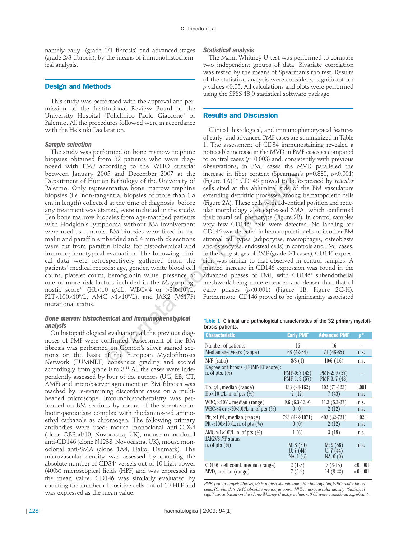namely early- (grade 0/1 fibrosis) and advanced-stages (grade 2/3 fibrosis), by the means of immunohistochemical analysis.

## **Design and Methods**

This study was performed with the approval and permission of the Institutional Review Board of the University Hospital "Policlinico Paolo Giaccone" of Palermo. All the procedures followed were in accordance with the Helsinki Declaration.

#### *Sample selection*

The study was performed on bone marrow trephine biopsies obtained from 32 patients who were diagnosed with PMF according to the WHO criteria<sup>9</sup> between January 2005 and December 2007 at the Department of Human Pathology of the University of Palermo. Only representative bone marrow trephine biopsies (i.e. non-tangential biopsies of more than 1.5 cm in length) collected at the time of diagnosis, before any treatment was started, were included in the study. Ten bone marrow biopsies from age-matched patients with Hodgkin's lymphoma without BM involvement were used as controls. BM biopsies were fixed in formalin and paraffin embedded and 4 mm-thick sections were cut from paraffin blocks for histochemical and immunophenotypical evaluation. The following clinical data were retrospectively gathered from the patients' medical records: age, gender, white blood cell count, platelet count, hemoglobin value, presence of one or more risk factors included in the Mayo prognostic score10 (Hb<10 g/dL, WBC<4 or >30×109 /L, PLT<100×109 /L, AMC >1×109 /L), and JAK2 (V617F) mutational status. Us and December 2001 at the increase in their content (spearmant paralongly of the University of (Figure 1A).<sup>84</sup> CD146 proved to be estatative bone marrow trephine cells sited at the abluminal side of gential biopsies of

## *Bone marrow histochemical and immunophenotypical analysis*

On histopathological evaluation, all the previous diagnoses of PMF were confirmed. Assessment of the BM fibrosis was performed on Gomori's silver stained sections on the basis of the European Myelofibrosis Network (EUMNET) consensus grading and scored accordingly from grade  $0$  to  $3.^{11}$  All the cases were independently assessed by four of the authors (UG, EB, CT, AMF) and interobserver agreement on BM fibrosis was reached by re-examining discordant cases on a multiheaded microscope. Immunohistochemistry was performed on BM sections by means of the streptavidinbiotin-peroxidase complex with rhodamine-red aminoethyl carbazole as chromogen. The following primary antibodies were used: mouse monoclonal anti-CD34 (clone QBEnd/10, Novocastra, UK), mouse monoclonal anti-CD146 (clone N1238, Novocastra, UK), mouse monoclonal anti-SMA (clone 1A4, Dako, Denmark). The microvascular density was assessed by counting the absolute number of CD34<sup>+</sup> vessels out of 10 high-power (400×) microscopical fields (HPF) and was expressed as the mean value. CD146 was similarly evaluated by counting the number of positive cells out of 10 HPF and was expressed as the mean value.

#### *Statistical analysis*

The Mann Whitney U-test was performed to compare two independent groups of data. Bivariate correlation was tested by the means of Spearman's rho test. Results of the statistical analysis were considered significant for *p* values <0.05. All calculations and plots were performed using the SPSS 13.0 statistical software package.

## **Results and Discussion**

Clinical, histological, and immunophenotypical features of early- and advanced-PMF cases are summarized in Table 1. The assessment of CD34 immunostaining revealed a noticeable increase in the MVD in PMF cases as compared to control cases  $(p=0.003)$  and, consistently with previous observations, in PMF cases the MVD paralleled the increase in fiber content (Spearman's ρ=0.880, *p*<0.001) (Figure 1A).3,4 CD146 proved to be expressed by *reticular* cells sited at the abluminal side of the BM vasculature extending dendritic processes among hematopoietic cells (Figure 2A). These cells with adventitial position and reticular morphology also expressed SMA, which confirmed their mural cell phenotype (Figure 2B). In control samples very few CD146+ cells were detected. No labeling for CD146 was detected in hematopoietic cells or in other BM stromal cell types (adipocytes, macrophages, osteoblasts and osteocytes, endosteal cells) in controls and PMF cases. In the early stages of PMF (grade 0/1 cases), CD146 expression was similar to that observed in control samples. A marked increase in CD146 expression was found in the advanced phases of PMF, with CD146<sup>+</sup> subendothelial meshwork being more extended and denser than that of early phases (*p*<0.001) (Figure 1B, Figure 2C-H). Furthermore, CD146 proved to be significantly associated

Table 1. Clinical and pathological characteristics of the 32 primary myelofibrosis patients.

| <b>Characteristic</b>                                                | <b>Early PMF</b>                 | <b>Advanced PMF</b>              | 呼                    |
|----------------------------------------------------------------------|----------------------------------|----------------------------------|----------------------|
| Number of patients                                                   | 16                               | 16                               |                      |
| Median age, years (range)                                            | 68 (42-84)                       | $71(48-85)$                      | n.S.                 |
| M/F (ratio)                                                          | 8/8(1)                           | $10/6$ $(1.6)$                   | n.s.                 |
| Degree of fibrosis (EUMNET score):<br>n. of pts. $(\%)$              | $PMF-0:7(43)$<br>$PMF-1: 9(57)$  | $PMF-2: 9(57)$<br>PMF-3: 7 (43)  |                      |
| Hb, $g/L$ , median (range)                                           | 133 (94-162)                     | $102(71-123)$                    | 0.001                |
| $Hb<10$ g/L, n. of pts $(\%)$                                        | 2(12)                            | 7(43)                            | n.S.                 |
| WBC, $\times$ 10 <sup>9</sup> /L, median (range)                     | $9.6(6.3-13.9)$                  | $11.3(5.2-37)$                   | n.S.                 |
| WBC<4 or > $30 \times 10^{9}$ /L, n. of pts (%)                      | 0(0)                             | 2(12)                            | n.s.                 |
| Plt, $\times$ 10 <sup>9</sup> /L, median (range)                     | 793 (422-1071)                   | 403 (32-731)                     | 0.023                |
| Plt <100 $\times$ 10 $\frac{9}{L}$ , n. of pts (%)                   | 0(0)                             | 2(12)                            | n.s.                 |
| AMC > $1 \times 10^9$ /L, n. of pts (%)                              | 1(6)                             | 3(19)                            | n.S.                 |
| JAK2V617F status<br>n. of pts $(\%)$                                 | M: 8(50)<br>U: 7(44)<br>NA: 1(6) | M: 9(56)<br>U: 7(44)<br>NA: 0(0) | n.S.                 |
| CD146 <sup>+</sup> cell count, median (range)<br>MVD, median (range) | $2(1-5)$<br>$7(5-9)$             | $7(3-15)$<br>$14(8-22)$          | < 0.0001<br>< 0.0001 |

*PMF: primary myelofibrosis; M/F: male-to-female ratio; Hb: hemoglobin;WBC: white blood cells; Plt: platelets; AMC,absolute monocyte count; MVD: microvascular density.\*Statistical significance based on the Mann-Whitney U test,p values < 0.05 were considered significant.*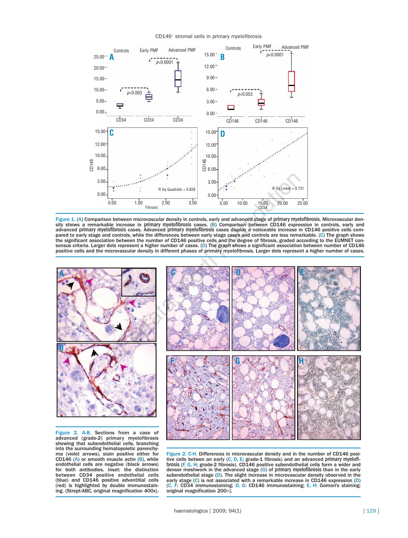CD146+ stromal cells in primary myelofibrosis



Figure 1. (A) Comparison between microvascular density in controls, early and advanced stage of primary myelofibrosis. Microvascular density shows a remarkable increase in primary myelofibrosis cases. (B) Comparison between CD146 expression in controls, early and advanced primary myelofibrosis cases. Advanced primary myelofibrosis cases display a noticeable increase in CD146 positive cells compared to early stage and controls, while the differences between early stage cases and controls are less remarkable. (C) The graph shows the significant association between the number of CD146 positive cells and the degree of fibrosis, graded according to the EUMNET consensus criteria. Larger dots represent a higher number of cases. (D) The graph shows a significant association between number of CD146 positive cells and the microvascular density in different phases of primary myelofibrosis. Larger dots represent a higher number of cases.



advanced (grade-2) primary myelofibrosis showing that subendothelial cells, branching into the surrounding hematopoietic parenchyma (violet arrows), stain positive either for CD146 (A) or smooth muscle actin  $(B)$ , while endothelial cells are negative (black arrows) for both antibodies. Inset: the distinction between CD34 positive endothelial cells (blue) and CD146 positive adventitial cells (red) is highlighted by double immunostain- ing. (Strept-ABC, original magnification 400x).

Figure 2. C-H. Differences in microvascular density and in the number of CD146 positive cells betwen an early  $(C, D, E;$  grade-1 fibrosis) and an advanced primary myelofibrosis (F, G, H; grade-2 fibrosis). CD146 positive subendothelial cells form a wider and denser meshwork in the advanced stage (G) of primary myelofibrosis than in the early subendothelial stage (D). The slight increase in microvascular density observed in the early stage (C) is not associated with a remarkable increase in CD146 expression (D) (C, F: CD34 immunostaining; D, G: CD146 immunostaining; E, H: Gomori's staining; original magnification 200×).